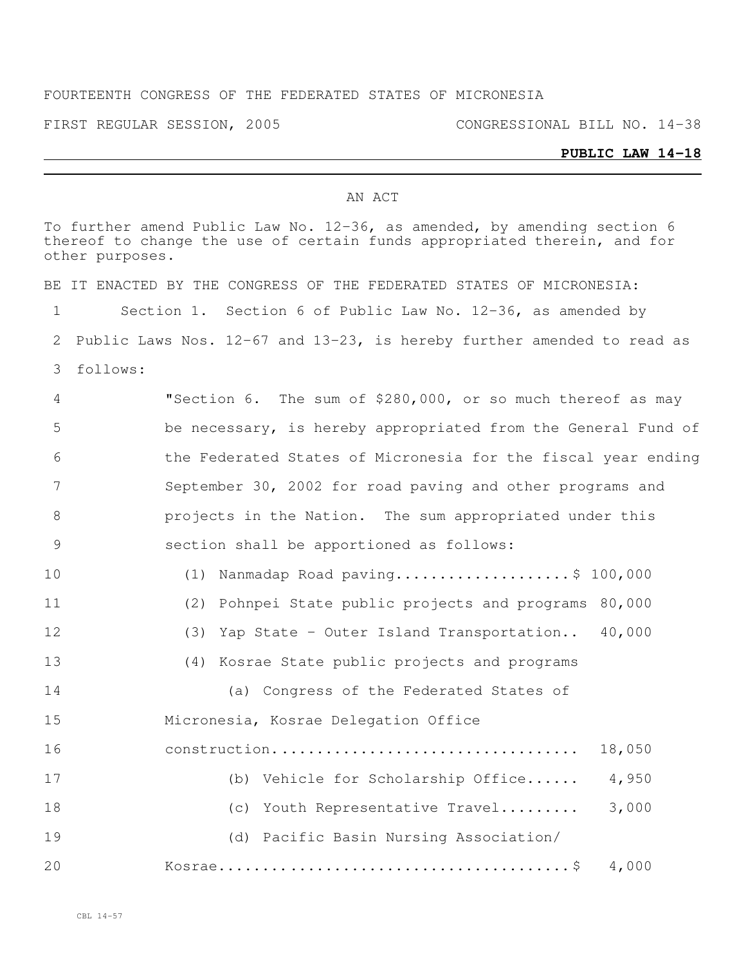## FOURTEENTH CONGRESS OF THE FEDERATED STATES OF MICRONESIA

FIRST REGULAR SESSION, 2005 CONGRESSIONAL BILL NO. 14-38

## **PUBLIC LAW 14-18**

## AN ACT

| To further amend Public Law No. 12-36, as amended, by amending section 6<br>thereof to change the use of certain funds appropriated therein, and for<br>other purposes. |                                                                             |  |
|-------------------------------------------------------------------------------------------------------------------------------------------------------------------------|-----------------------------------------------------------------------------|--|
|                                                                                                                                                                         | BE IT ENACTED BY THE CONGRESS OF THE FEDERATED STATES OF MICRONESIA:        |  |
| 1                                                                                                                                                                       | Section 1. Section 6 of Public Law No. 12-36, as amended by                 |  |
| 2                                                                                                                                                                       | Public Laws Nos. $12-67$ and $13-23$ , is hereby further amended to read as |  |
| 3                                                                                                                                                                       | follows:                                                                    |  |
| 4                                                                                                                                                                       | "Section 6. The sum of \$280,000, or so much thereof as may                 |  |
| 5                                                                                                                                                                       | be necessary, is hereby appropriated from the General Fund of               |  |
| 6                                                                                                                                                                       | the Federated States of Micronesia for the fiscal year ending               |  |
| 7                                                                                                                                                                       | September 30, 2002 for road paving and other programs and                   |  |
| 8                                                                                                                                                                       | projects in the Nation. The sum appropriated under this                     |  |
| 9                                                                                                                                                                       | section shall be apportioned as follows:                                    |  |
| 10                                                                                                                                                                      | (1) Nanmadap Road paving\$ 100,000                                          |  |
| 11                                                                                                                                                                      | (2) Pohnpei State public projects and programs 80,000                       |  |
| 12                                                                                                                                                                      | (3) Yap State - Outer Island Transportation 40,000                          |  |
| 13                                                                                                                                                                      | (4) Kosrae State public projects and programs                               |  |
| 14                                                                                                                                                                      | (a) Congress of the Federated States of                                     |  |
| 15                                                                                                                                                                      | Micronesia, Kosrae Delegation Office                                        |  |
| 16                                                                                                                                                                      | construction<br>18,050                                                      |  |
| 17                                                                                                                                                                      | (b) Vehicle for Scholarship Office<br>4,950                                 |  |
| 18                                                                                                                                                                      | 3,000<br>Youth Representative Travel<br>(c)                                 |  |
| 19                                                                                                                                                                      | (d) Pacific Basin Nursing Association/                                      |  |
| 20                                                                                                                                                                      | 4,000                                                                       |  |
|                                                                                                                                                                         |                                                                             |  |